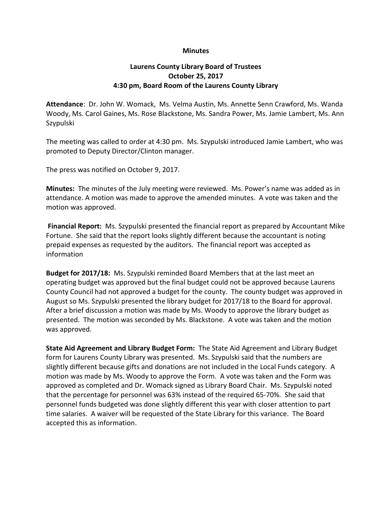## **Minutes**

## Laurens County Library Board of Trustees October 25, 2017 4:30 pm, Board Room of the Laurens County Library

Attendance: Dr. John W. Womack, Ms. Velma Austin, Ms. Annette Senn Crawford, Ms. Wanda Woody, Ms. Carol Gaines, Ms. Rose Blackstone, Ms. Sandra Power, Ms. Jamie Lambert, Ms. Ann Szypulski

The meeting was called to order at 4:30 pm. Ms. Szypulski introduced Jamie Lambert, who was promoted to Deputy Director/Clinton manager.

The press was notified on October 9, 2017.

Minutes: The minutes of the July meeting were reviewed. Ms. Power's name was added as in attendance. A motion was made to approve the amended minutes. A vote was taken and the motion was approved.

Financial Report: Ms. Szypulski presented the financial report as prepared by Accountant Mike Fortune. She said that the report looks slightly different because the accountant is noting prepaid expenses as requested by the auditors. The financial report was accepted as information

Budget for 2017/18: Ms. Szypulski reminded Board Members that at the last meet an operating budget was approved but the final budget could not be approved because Laurens County Council had not approved a budget for the county. The county budget was approved in August so Ms. Szypulski presented the library budget for 2017/18 to the Board for approval. After a brief discussion a motion was made by Ms. Woody to approve the library budget as presented. The motion was seconded by Ms. Blackstone. A vote was taken and the motion was approved.

State Aid Agreement and Library Budget Form: The State Aid Agreement and Library Budget form for Laurens County Library was presented. Ms. Szypulski said that the numbers are slightly different because gifts and donations are not included in the Local Funds category. A motion was made by Ms. Woody to approve the Form. A vote was taken and the Form was approved as completed and Dr. Womack signed as Library Board Chair. Ms. Szypulski noted that the percentage for personnel was 63% instead of the required 65-70%. She said that personnel funds budgeted was done slightly different this year with closer attention to part time salaries. A waiver will be requested of the State Library for this variance. The Board accepted this as information.